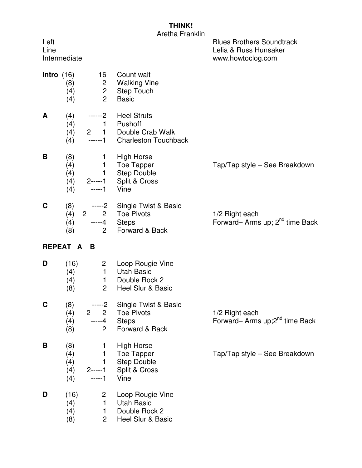## **THINK!**

Aretha Franklin

| Left<br>Line        | Intermediate                    |                                                                |                                                                                        | <b>Blues Brothers Soundtrack</b><br>Lelia & Russ Hunsaker<br>www.howtoclog.com |
|---------------------|---------------------------------|----------------------------------------------------------------|----------------------------------------------------------------------------------------|--------------------------------------------------------------------------------|
| <b>Intro</b> $(16)$ | (8)<br>(4)<br>(4)               | 16<br>2 <sub>2</sub><br>$\overline{2}$<br>$\overline{2}$       | Count wait<br><b>Walking Vine</b><br><b>Step Touch</b><br><b>Basic</b>                 |                                                                                |
| A                   | (4)<br>(4)<br>(4)<br>(4)        | ------2<br>$---1$                                              | <b>Heel Struts</b><br>1 Pushoff<br>2 1 Double Crab Walk<br><b>Charleston Touchback</b> |                                                                                |
| B                   | (8)<br>(4)<br>(4)<br>(4)<br>(4) | $\mathbf{1}$<br>$---1$                                         | <b>High Horse</b><br>1 Toe Tapper<br>1 Step Double<br>2-----1 Split & Cross<br>Vine    | Tap/Tap style - See Breakdown                                                  |
| C                   | (8)<br>(4)<br>(4)<br>(8)        | $2^{\circ}$<br>$---4$ Steps<br>$\overline{2}$                  | -----2 Single Twist & Basic<br>2 Toe Pivots<br>Forward & Back                          | 1/2 Right each<br>Forward-Arms up; 2 <sup>nd</sup> time Back                   |
|                     | REPEAT A                        | B                                                              |                                                                                        |                                                                                |
| D                   | (16)<br>(4)<br>(4)<br>(8)       | 2 <sup>2</sup><br>$1 -$<br>$\overline{2}$                      | Loop Rougie Vine<br><b>Utah Basic</b><br>1 Double Rock 2<br>Heel Slur & Basic          |                                                                                |
| C                   | (8)<br>(4)<br>(4)<br>(8)        | -----2<br>$2\quad 2$<br>-----4<br>$\overline{2}$               | Single Twist & Basic<br><b>Toe Pivots</b><br><b>Steps</b><br>Forward & Back            | 1/2 Right each<br>Forward- Arms up;2 <sup>nd</sup> time Back                   |
| В                   | (8)<br>(4)<br>(4)<br>(4)<br>(4) | 1<br>1<br>$\mathbf{1}$<br>$2$ -----1<br>$---1$                 | <b>High Horse</b><br>Toe Tapper<br><b>Step Double</b><br>Split & Cross<br>Vine         | Tap/Tap style - See Breakdown                                                  |
| D                   | (16)<br>(4)<br>(4)<br>(8)       | $\mathbf{2}$<br>$\mathbf{1}$<br>$\mathbf{1}$<br>$\overline{2}$ | Loop Rougie Vine<br><b>Utah Basic</b><br>Double Rock 2<br>Heel Slur & Basic            |                                                                                |